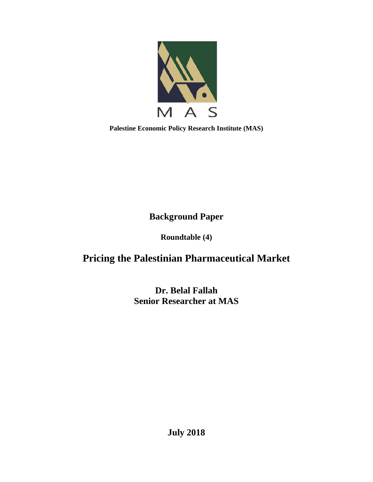

**Palestine Economic Policy Research Institute (MAS)** 

**Background Paper** 

**Roundtable (4)** 

# **Pricing the Palestinian Pharmaceutical Market**

**Dr. Belal Fallah Senior Researcher at MAS** 

**July 2018**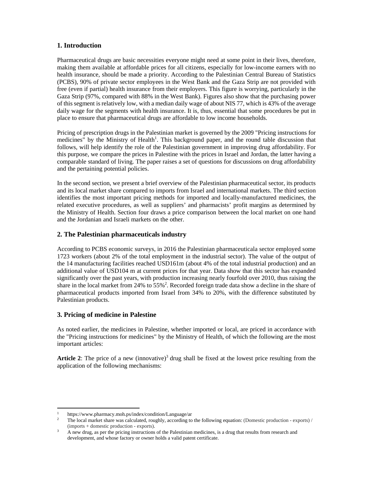#### **1. Introduction**

Pharmaceutical drugs are basic necessities everyone might need at some point in their lives, therefore, making them available at affordable prices for all citizens, especially for low-income earners with no health insurance, should be made a priority. According to the Palestinian Central Bureau of Statistics (PCBS), 90% of private sector employees in the West Bank and the Gaza Strip are not provided with free (even if partial) health insurance from their employers. This figure is worrying, particularly in the Gaza Strip (97%, compared with 88% in the West Bank). Figures also show that the purchasing power of this segment is relatively low, with a median daily wage of about NIS 77, which is 43% of the average daily wage for the segments with health insurance. It is, thus, essential that some procedures be put in place to ensure that pharmaceutical drugs are affordable to low income households.

Pricing of prescription drugs in the Palestinian market is governed by the 2009 "Pricing instructions for medicines" by the Ministry of Health<sup>1</sup>. This background paper, and the round table discussion that follows, will help identify the role of the Palestinian government in improving drug affordability. For this purpose, we compare the prices in Palestine with the prices in Israel and Jordan, the latter having a comparable standard of living. The paper raises a set of questions for discussions on drug affordability and the pertaining potential policies.

In the second section, we present a brief overview of the Palestinian pharmaceutical sector, its products and its local market share compared to imports from Israel and international markets. The third section identifies the most important pricing methods for imported and locally-manufactured medicines, the related executive procedures, as well as suppliers' and pharmacists' profit margins as determined by the Ministry of Health. Section four draws a price comparison between the local market on one hand and the Jordanian and Israeli markets on the other.

#### **2. The Palestinian pharmaceuticals industry**

According to PCBS economic surveys, in 2016 the Palestinian pharmaceuticala sector employed some 1723 workers (about 2% of the total employment in the industrial sector). The value of the output of the 14 manufacturing facilities reached USD161m (about 4% of the total industrial production) and an additional value of USD104 m at current prices for that year. Data show that this sector has expanded significantly over the past years, with production increasing nearly fourfold over 2010, thus raising the share in the local market from 24% to 55%<sup>2</sup>. Recorded foreign trade data show a decline in the share of pharmaceutical products imported from Israel from 34% to 20%, with the difference substituted by Palestinian products.

#### **3. Pricing of medicine in Palestine**

As noted earlier, the medicines in Palestine, whether imported or local, are priced in accordance with the "Pricing instructions for medicines" by the Ministry of Health, of which the following are the most important articles:

**Article 2:** The price of a new (innovative)<sup>3</sup> drug shall be fixed at the lowest price resulting from the application of the following mechanisms:

 1 <sup>1</sup> https://www.pharmacy.moh.ps/index/condition/Language/ar  $\frac{2}{\pi}$  The local market share was calculated, roughly according to

The local market share was calculated, roughly, according to the following equation: (Domestic production - exports) /  $\frac{1}{3}$  (imports + domestic production - exports).

A new drug, as per the pricing instructions of the Palestinian medicines, is a drug that results from research and development, and whose factory or owner holds a valid patent certificate.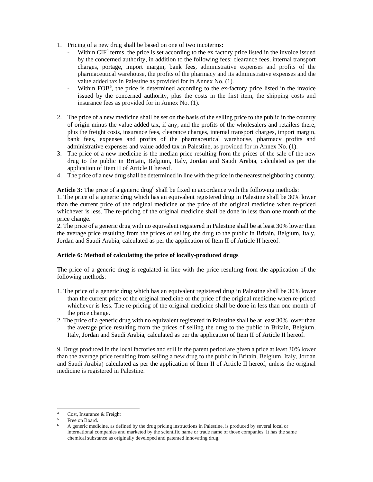- 1. Pricing of a new drug shall be based on one of two incoterms:
	- Within CIF<sup>4</sup> terms, the price is set according to the ex factory price listed in the invoice issued by the concerned authority, in addition to the following fees: clearance fees, internal transport charges, portage, import margin, bank fees, administrative expenses and profits of the pharmaceutical warehouse, the profits of the pharmacy and its administrative expenses and the value added tax in Palestine as provided for in Annex No. (1).
	- Within FOB<sup>5</sup>, the price is determined according to the ex-factory price listed in the invoice issued by the concerned authority, plus the costs in the first item, the shipping costs and insurance fees as provided for in Annex No. (1).
- 2. The price of a new medicine shall be set on the basis of the selling price to the public in the country of origin minus the value added tax, if any, and the profits of the wholesalers and retailers there, plus the freight costs, insurance fees, clearance charges, internal transport charges, import margin, bank fees, expenses and profits of the pharmaceutical warehouse, pharmacy profits and administrative expenses and value added tax in Palestine, as provided for in Annex No. (1).
- 3. The price of a new medicine is the median price resulting from the prices of the sale of the new drug to the public in Britain, Belgium, Italy, Jordan and Saudi Arabia, calculated as per the application of Item II of Article II hereof.
- 4. The price of a new drug shall be determined in line with the price in the nearest neighboring country.

Article 3: The price of a generic drug<sup>6</sup> shall be fixed in accordance with the following methods:

1. The price of a generic drug which has an equivalent registered drug in Palestine shall be 30% lower than the current price of the original medicine or the price of the original medicine when re-priced whichever is less. The re-pricing of the original medicine shall be done in less than one month of the price change.

2. The price of a generic drug with no equivalent registered in Palestine shall be at least 30% lower than the average price resulting from the prices of selling the drug to the public in Britain, Belgium, Italy, Jordan and Saudi Arabia, calculated as per the application of Item II of Article II hereof.

#### **Article 6: Method of calculating the price of locally-produced drugs**

The price of a generic drug is regulated in line with the price resulting from the application of the following methods:

- 1. The price of a generic drug which has an equivalent registered drug in Palestine shall be 30% lower than the current price of the original medicine or the price of the original medicine when re-priced whichever is less. The re-pricing of the original medicine shall be done in less than one month of the price change.
- 2. The price of a generic drug with no equivalent registered in Palestine shall be at least 30% lower than the average price resulting from the prices of selling the drug to the public in Britain, Belgium, Italy, Jordan and Saudi Arabia, calculated as per the application of Item II of Article II hereof.

9. Drugs produced in the local factories and still in the patent period are given a price at least 30% lower than the average price resulting from selling a new drug to the public in Britain, Belgium, Italy, Jordan and Saudi Arabia) calculated as per the application of Item II of Article II hereof, unless the original medicine is registered in Palestine.

<sup>4</sup> Cost, Insurance & Freight

<sup>5</sup> Free on Board.

<sup>6</sup> A generic medicine, as defined by the drug pricing instructions in Palestine, is produced by several local or international companies and marketed by the scientific name or trade name of those companies. It has the same chemical substance as originally developed and patented innovating drug.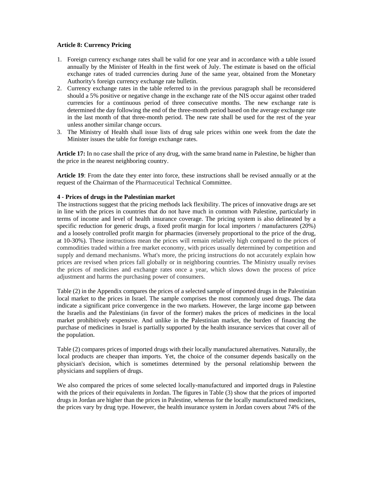#### **Article 8: Currency Pricing**

- 1. Foreign currency exchange rates shall be valid for one year and in accordance with a table issued annually by the Minister of Health in the first week of July. The estimate is based on the official exchange rates of traded currencies during June of the same year, obtained from the Monetary Authority's foreign currency exchange rate bulletin.
- 2. Currency exchange rates in the table referred to in the previous paragraph shall be reconsidered should a 5% positive or negative change in the exchange rate of the NIS occur against other traded currencies for a continuous period of three consecutive months. The new exchange rate is determined the day following the end of the three-month period based on the average exchange rate in the last month of that three-month period. The new rate shall be used for the rest of the year unless another similar change occurs.
- 3. The Ministry of Health shall issue lists of drug sale prices within one week from the date the Minister issues the table for foreign exchange rates.

**Article 17:** In no case shall the price of any drug, with the same brand name in Palestine, be higher than the price in the nearest neighboring country.

**Article 19**: From the date they enter into force, these instructions shall be revised annually or at the request of the Chairman of the Pharmaceutical Technical Committee.

#### **4 - Prices of drugs in the Palestinian market**

The instructions suggest that the pricing methods lack flexibility. The prices of innovative drugs are set in line with the prices in countries that do not have much in common with Palestine, particularly in terms of income and level of health insurance coverage. The pricing system is also delineated by a specific reduction for generic drugs, a fixed profit margin for local importers / manufacturers (20%) and a loosely controlled profit margin for pharmacies (inversely proportional to the price of the drug, at 10-30%). These instructions mean the prices will remain relatively high compared to the prices of commodities traded within a free market economy, with prices usually determined by competition and supply and demand mechanisms. What's more, the pricing instructions do not accurately explain how prices are revised when prices fall globally or in neighboring countries. The Ministry usually revises the prices of medicines and exchange rates once a year, which slows down the process of price adjustment and harms the purchasing power of consumers.

Table (2) in the Appendix compares the prices of a selected sample of imported drugs in the Palestinian local market to the prices in Israel. The sample comprises the most commonly used drugs. The data indicate a significant price convergence in the two markets. However, the large income gap between the Israelis and the Palestinians (in favor of the former) makes the prices of medicines in the local market prohibitively expensive. And unlike in the Palestinian market, the burden of financing the purchase of medicines in Israel is partially supported by the health insurance services that cover all of the population.

Table (2) compares prices of imported drugs with their locally manufactured alternatives. Naturally, the local products are cheaper than imports. Yet, the choice of the consumer depends basically on the physician's decision, which is sometimes determined by the personal relationship between the physicians and suppliers of drugs.

We also compared the prices of some selected locally-manufactured and imported drugs in Palestine with the prices of their equivalents in Jordan. The figures in Table (3) show that the prices of imported drugs in Jordan are higher than the prices in Palestine, whereas for the locally manufactured medicines, the prices vary by drug type. However, the health insurance system in Jordan covers about 74% of the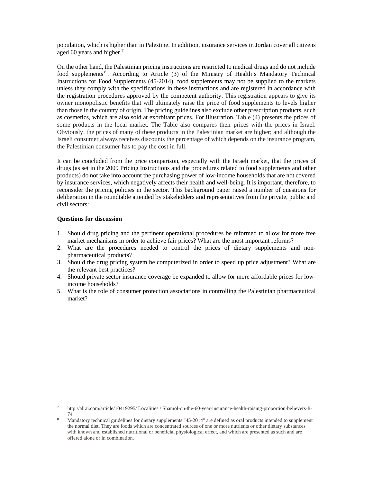population, which is higher than in Palestine. In addition, insurance services in Jordan cover all citizens aged 60 years and higher.<sup>7</sup>

On the other hand, the Palestinian pricing instructions are restricted to medical drugs and do not include food supplements<sup>8</sup>. According to Article (3) of the Ministry of Health's Mandatory Technical Instructions for Food Supplements (45-2014), food supplements may not be supplied to the markets unless they comply with the specifications in these instructions and are registered in accordance with the registration procedures approved by the competent authority. This registration appears to give its owner monopolistic benefits that will ultimately raise the price of food supplements to levels higher than those in the country of origin. The pricing guidelines also exclude other prescription products, such as cosmetics, which are also sold at exorbitant prices. For illustration, Table (4) presents the prices of some products in the local market. The Table also compares their prices with the prices in Israel. Obviously, the prices of many of these products in the Palestinian market are higher; and although the Israeli consumer always receives discounts the percentage of which depends on the insurance program, the Palestinian consumer has to pay the cost in full.

It can be concluded from the price comparison, especially with the Israeli market, that the prices of drugs (as set in the 2009 Pricing Instructions and the procedures related to food supplements and other products) do not take into account the purchasing power of low-income households that are not covered by insurance services, which negatively affects their health and well-being. It is important, therefore, to reconsider the pricing policies in the sector. This background paper raised a number of questions for deliberation in the roundtable attended by stakeholders and representatives from the private, public and civil sectors:

#### **Questions for discussion**

- 1. Should drug pricing and the pertinent operational procedures be reformed to allow for more free market mechanisms in order to achieve fair prices? What are the most important reforms?
- 2. What are the procedures needed to control the prices of dietary supplements and nonpharmaceutical products?
- 3. Should the drug pricing system be computerized in order to speed up price adjustment? What are the relevant best practices?
- 4. Should private sector insurance coverage be expanded to allow for more affordable prices for lowincome households?
- 5. What is the role of consumer protection associations in controlling the Palestinian pharmaceutical market?

 7 http://alrai.com/article/10419295/ Localities / Shamol-on-the-60-year-insurance-health-raising-proportion-believers-li-74

<sup>8</sup> Mandatory technical guidelines for dietary supplements "45-2014" are defined as oral products intended to supplement the normal diet. They are foods which are concentrated sources of one or more nutrients or other dietary substances with known and established nutritional or beneficial physiological effect, and which are presented as such and are offered alone or in combination.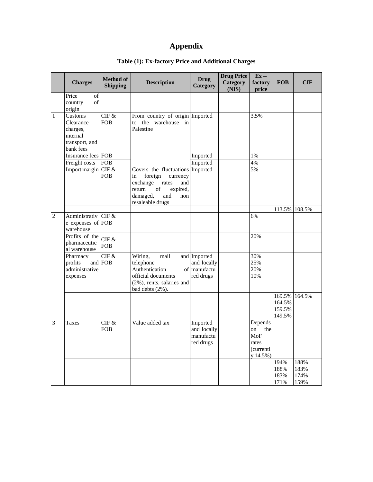## **Appendix**

|                | <b>Charges</b>                                                              | <b>Method of</b><br><b>Shipping</b> | <b>Description</b>                                                                                                                                                  | <b>Drug</b><br><b>Category</b>                           | <b>Drug Price</b><br><b>Category</b><br>(NIS) | Ex --<br>factory<br>price                                     | <b>FOB</b>                                  | <b>CIF</b>                   |
|----------------|-----------------------------------------------------------------------------|-------------------------------------|---------------------------------------------------------------------------------------------------------------------------------------------------------------------|----------------------------------------------------------|-----------------------------------------------|---------------------------------------------------------------|---------------------------------------------|------------------------------|
|                | Price<br>of<br>of<br>country<br>origin                                      |                                     |                                                                                                                                                                     |                                                          |                                               |                                                               |                                             |                              |
| 1              | Customs<br>Clearance<br>charges,<br>internal<br>transport, and<br>bank fees | CIF &<br><b>FOB</b>                 | From country of origin Imported<br>to the warehouse in<br>Palestine                                                                                                 |                                                          |                                               | 3.5%                                                          |                                             |                              |
|                | Insurance fees FOB                                                          |                                     |                                                                                                                                                                     | Imported                                                 |                                               | 1%                                                            |                                             |                              |
|                | Freight costs                                                               | <b>FOB</b>                          |                                                                                                                                                                     | Imported                                                 |                                               | 4%                                                            |                                             |                              |
|                | Import margin CIF &                                                         | <b>FOB</b>                          | Covers the fluctuations Imported<br>foreign<br>currency<br>in<br>exchange<br>rates<br>and<br>return<br>of<br>expired,<br>damaged,<br>and<br>non<br>resaleable drugs |                                                          |                                               | 5%                                                            |                                             |                              |
|                |                                                                             |                                     |                                                                                                                                                                     |                                                          |                                               |                                                               |                                             | 113.5% 108.5%                |
| $\overline{c}$ | Administrativ<br>e expenses of FOB<br>warehouse                             | CIF &                               |                                                                                                                                                                     |                                                          |                                               | 6%                                                            |                                             |                              |
|                | Profits of the<br>pharmaceutic<br>al warehouse                              | CIF &<br><b>FOB</b>                 |                                                                                                                                                                     |                                                          |                                               | 20%                                                           |                                             |                              |
|                | Pharmacy<br>profits<br>administrative<br>expenses                           | $CIF \ \&$<br>and FOB               | Wiring,<br>mail<br>telephone<br>Authentication<br>official documents<br>(2%), rents, salaries and<br>bad debts (2%).                                                | and Imported<br>and locally<br>of manufactu<br>red drugs |                                               | 30%<br>25%<br>20%<br>10%                                      |                                             |                              |
|                |                                                                             |                                     |                                                                                                                                                                     |                                                          |                                               |                                                               | 169.5% 164.5%<br>164.5%<br>159.5%<br>149.5% |                              |
| 3              | <b>Taxes</b>                                                                | CIF &<br><b>FOB</b>                 | Value added tax                                                                                                                                                     | Imported<br>and locally<br>manufactu<br>red drugs        |                                               | Depends<br>on<br>the<br>MoF<br>rates<br>(currentl<br>y 14.5%) |                                             |                              |
|                |                                                                             |                                     |                                                                                                                                                                     |                                                          |                                               |                                                               | 194%<br>188%<br>183%<br>171%                | 188%<br>183%<br>174%<br>159% |

### **Table (1): Ex-factory Price and Additional Charges**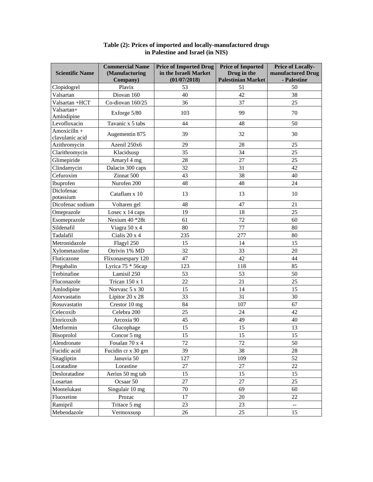|                                 | <b>Commercial Name</b> | <b>Price of Imported Drug</b> | <b>Price of Imported</b>  | Price of Locally-        |  |
|---------------------------------|------------------------|-------------------------------|---------------------------|--------------------------|--|
| <b>Scientific Name</b>          | (Manufacturing         | in the Israeli Market         | Drug in the               | manufactured Drug        |  |
|                                 | Company)               | (01/07/2018)                  | <b>Palestinian Market</b> | - Palestine              |  |
| Clopidogrel                     | Plavix                 | 53                            | 51                        | 50                       |  |
| Valsartan                       | Diovan 160             | 40                            | 42                        | 38                       |  |
| Valsartan +HCT                  | Co-diovan 160/25       | 36                            | 37                        | 25                       |  |
| Valsartan+<br>Amlodipine        | Exforge 5/80           | 103                           | 99                        | 70                       |  |
| Levofloxacin                    | Tavanic x 5 tabs       | 44                            | 48                        | 50                       |  |
| Amoxicilln +<br>clavulanic acid | Augementin 875         | 39                            | 32                        | 30                       |  |
| Azithromycin                    | Azenil 250x6           | 29                            | 28                        | 25                       |  |
| Clarithromycin                  | Klacidsusp             | 35                            | 34                        | 25                       |  |
| Glimepiride                     | Amaryl 4 mg            | 28                            | 27                        | 25                       |  |
| Clindamycin                     | Dalacin 300 caps       | 32                            | 31                        | 42                       |  |
| Cefuroxim                       | Zinnat 500             | 43                            | 38                        | 40                       |  |
| Ibuprofen                       | Nurofen 200            | 48                            | 48                        | 24                       |  |
| Diclofenac                      |                        |                               |                           |                          |  |
| potassium                       | Cataflam x 10          | 13                            | 13                        | 10                       |  |
| Dicofenac sodium                | Voltaren gel           | 48                            | 47                        | 21                       |  |
| Omeprazole                      | Losec x 14 caps        | 19                            | 18                        | 25                       |  |
| Esomeprazole                    | Nexium 40 *28t         | 61                            | 72                        | 60                       |  |
| Sildenafil                      | Viagra 50 x 4          | 80                            | 77                        | 80                       |  |
| Tadalafil                       | Cialis 20 x 4          | 235                           | 277                       | 80                       |  |
| Metronidazole                   | Flagyl 250             | 15                            | 14                        | 15                       |  |
| Xylometazoline                  | Otrivin 1% MD          | 32                            | 33                        | 20                       |  |
| Fluticazone                     | Flixonasespary 120     | 47                            | 42                        | 44                       |  |
| Pregabalin                      | Lyrica 75 * 56cap      | 123                           | 118                       | 85                       |  |
| Terbinafine                     | Lamisil 250            | 53                            | 53                        | 50                       |  |
| Fluconazole                     | Trican 150 x 1         | 22                            | 21                        | 25                       |  |
| Amlodipine                      | Norvasc 5 x 30         | 15                            | 14                        | 15                       |  |
| Atorvastatin                    | Lipitor 20 x 28        | 33                            | 31                        | 30                       |  |
| Rosuvastatin                    | Crestor 10 mg          | 84                            | 107                       | 67                       |  |
| Celecoxib                       | Celebra 200            | 25                            | 24                        | 42                       |  |
| Etoricoxib                      | Arcoxia 90             | 45                            | 49                        | 40                       |  |
| Metformin                       | Glucophage             | 15                            | 15                        | 13                       |  |
| Bisoprolol                      | Concor 5 mg            | 15                            | 15                        | 15                       |  |
| Alendronate                     | Fosalan 70 x 4         | $72\,$                        | 72                        | 50                       |  |
| Fucidic acid                    | Fucidin cr x 30 gm     | 39                            | 38                        | 28                       |  |
| Sitagliptin                     | Januvia 50             | 127                           | 109                       | 52                       |  |
| Loratadine                      | Lorastine              | 27                            | 27                        | 22                       |  |
|                                 |                        |                               |                           |                          |  |
| Desloratadine                   | Aerius 50 mg tab       | 15                            | 15                        | 15                       |  |
| Losartan                        | Ocsaar 50              | 27                            | 27                        | 25                       |  |
| Montelukast                     | Singulair 10 mg        | 70                            | 69                        | 60                       |  |
| Fluoxetine                      | Prozac                 | 17                            | 20                        | 22                       |  |
| Ramipril                        | Tritace 5 mg           | 23                            | 23                        | $\overline{\phantom{a}}$ |  |
| Mebendazole                     | Vermoxsusp             | 26                            | 25                        | 15                       |  |

#### **Table (2): Prices of imported and locally-manufactured drugs in Palestine and Israel (in NIS)**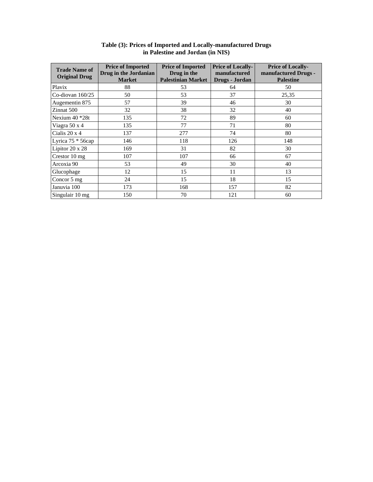| <b>Trade Name of</b><br><b>Original Drug</b> | <b>Price of Imported</b><br>Drug in the Jordanian<br><b>Market</b> | <b>Price of Imported</b><br>Drug in the<br><b>Palestinian Market</b> | <b>Price of Locally-</b><br>manufactured<br>Drugs - Jordan | <b>Price of Locally-</b><br>manufactured Drugs -<br><b>Palestine</b> |
|----------------------------------------------|--------------------------------------------------------------------|----------------------------------------------------------------------|------------------------------------------------------------|----------------------------------------------------------------------|
| Plavix                                       | 88                                                                 | 53                                                                   | 64                                                         | 50                                                                   |
| Co-diovan $160/25$                           | 50                                                                 | 53                                                                   | 37                                                         | 25,35                                                                |
| Augementin 875                               | 57                                                                 | 39                                                                   | 46                                                         | 30                                                                   |
| Zinnat 500                                   | 32                                                                 | 38                                                                   | 32                                                         | 40                                                                   |
| Nexium 40 *28t                               | 135                                                                | 72                                                                   | 89                                                         | 60                                                                   |
| Viagra 50 x 4                                | 135                                                                | 77                                                                   | 71                                                         | 80                                                                   |
| Cialis 20 x 4                                | 137                                                                | 277                                                                  | 74                                                         | 80                                                                   |
| Lyrica 75 * 56cap                            | 146                                                                | 118                                                                  | 126                                                        | 148                                                                  |
| Lipitor 20 x 28                              | 169                                                                | 31                                                                   | 82                                                         | 30                                                                   |
| Crestor 10 mg                                | 107                                                                | 107                                                                  | 66                                                         | 67                                                                   |
| Arcoxia 90                                   | 53                                                                 | 49                                                                   | 30                                                         | 40                                                                   |
| Glucophage                                   | 12                                                                 | 15                                                                   | 11                                                         | 13                                                                   |
| Concor 5 mg                                  | 24                                                                 | 15                                                                   | 18                                                         | 15                                                                   |
| Januvia 100                                  | 173                                                                | 168                                                                  | 157                                                        | 82                                                                   |
| Singulair 10 mg                              | 150                                                                | 70                                                                   | 121                                                        | 60                                                                   |

#### **Table (3): Prices of Imported and Locally-manufactured Drugs in Palestine and Jordan (in NIS)**